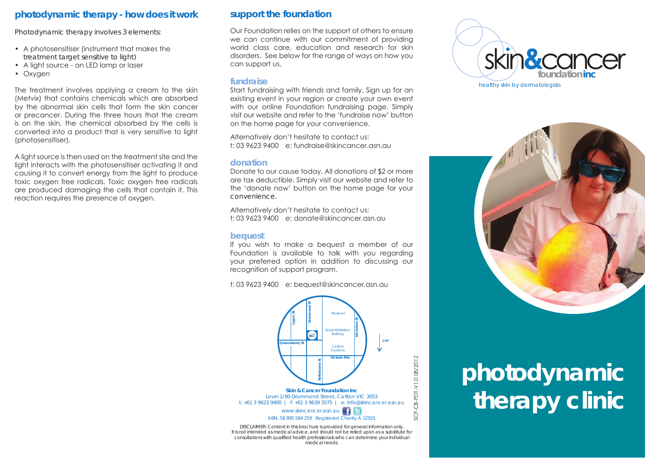# **photodynamic therapy - how does it work**

Photodynamic therapy involves 3 elements:

- • A photosensitiser (instrument that makes the treatment target sensitive to light)
- • A light source an LED lamp or laser
- Oxygen

The treatment involves applying a cream to the skin (Metvix) that contains chemicals which are absorbed by the abnormal skin cells that form the skin cancer or precancer. During the three hours that the cream is on the skin, the chemical absorbed by the cells is converted into a product that is very sensitive to light (photosensitiser).

A light source is then used on the treatment site and the light interacts with the photosensitiser activating it and causing it to convert energy from the light to produce toxic oxygen free radicals. Toxic oxygen free radicals are produced damaging the cells that contain it. This reaction requires the presence of oxygen.

## **support the foundation**

Our Foundation relies on the support of others to ensure we can continue with our commitment of providing world class care, education and research for skin disorders. See below for the range of ways on how you can support us.

#### **fundraise**

Start fundraising with friends and family. Sign up for an existing event in your region or create your own event with our online Foundation fundraising page. Simply visit our website and refer to the 'fundraise now' button on the home page for your convenience.

Alternatively don't hesitate to contact us: t: 03 9623 9400 e: fundraise@skincancer.asn.au

#### **donation**

Donate to our cause today. All donations of \$2 or more are tax deductible. Simply visit our website and refer to the 'donate now' button on the home page for your convenience.

Alternatively don't hesitate to contact us: t: 03 9623 9400 e: donate@skincancer.asn.au

## **bequest**

If you wish to make a bequest a member of our Foundation is available to talk with you regarding your preferred option in addition to discussing our recognition of support program.

t: 03 9623 9400 e: bequest@skincancer.asn.au



DISCLAIMER: Content in this brochure is provided for general information only. It is not intended as medical advice, and should not be relied upon as a substitute for consultations with qualified health professionals who can determine your individual medical needs.





# **photodynamic therapy clinic**